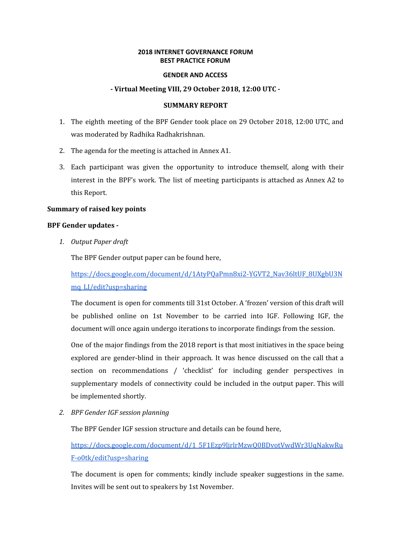## **2018 INTERNET GOVERNANCE FORUM BEST PRACTICE FORUM**

#### **GENDER AND ACCESS**

### **- Virtual Meeting VIII, 29 October 2018, 12:00 UTC -**

### **SUMMARY REPORT**

- 1. The eighth meeting of the BPF Gender took place on 29 October 2018, 12:00 UTC, and was moderated by Radhika Radhakrishnan.
- 2. The agenda for the meeting is attached in Annex A1.
- 3. Each participant was given the opportunity to introduce themself, along with their interest in the BPF's work. The list of meeting participants is attached as Annex A2 to this Report.

#### **Summary of raised key points**

### **BPF Gender updates -**

*1. Output Paper draft*

The BPF Gender output paper can be found here,

[https://docs.google.com/document/d/1AtyPQaPmn8xi2-YGVT2\\_Nav36ltUF\\_8UXgbU3N](https://docs.google.com/document/d/1AtyPQaPmn8xi2-YGVT2_Nav36ltUF_8UXgbU3Nmq_LI/edit?usp=sharing) [mq\\_LI/edit?usp=sharing](https://docs.google.com/document/d/1AtyPQaPmn8xi2-YGVT2_Nav36ltUF_8UXgbU3Nmq_LI/edit?usp=sharing)

The document is open for comments till 31st October. A 'frozen' version of this draft will be published online on 1st November to be carried into IGF. Following IGF, the document will once again undergo iterations to incorporate findings from the session.

One of the major findings from the 2018 report is that most initiatives in the space being explored are gender-blind in their approach. It was hence discussed on the call that a section on recommendations / 'checklist' for including gender perspectives in supplementary models of connectivity could be included in the output paper. This will be implemented shortly.

*2. BPF Gender IGF session planning*

The BPF Gender IGF session structure and details can be found here,

[https://docs.google.com/document/d/1\\_5F1Ezp9ljrlrMzwQ0BDvotVwdWr3UqNakwRu](https://docs.google.com/document/d/1_5F1Ezp9ljrlrMzwQ0BDvotVwdWr3UqNakwRuF-o0tk/edit?usp=sharing) [F-o0tk/edit?usp=sharing](https://docs.google.com/document/d/1_5F1Ezp9ljrlrMzwQ0BDvotVwdWr3UqNakwRuF-o0tk/edit?usp=sharing)

The document is open for comments; kindly include speaker suggestions in the same. Invites will be sent out to speakers by 1st November.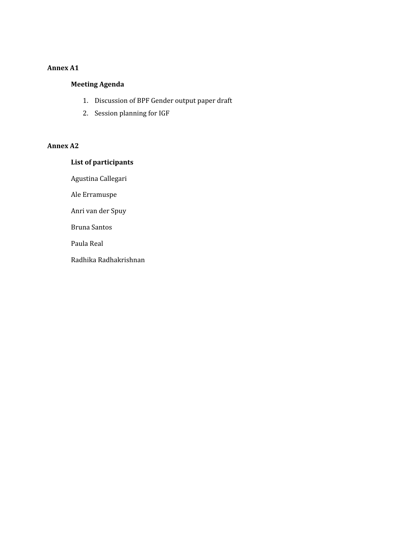# **Annex A1**

# **Meeting Agenda**

- 1. Discussion of BPF Gender output paper draft
- 2. Session planning for IGF

# **Annex A2**

# **List of participants**

Agustina Callegari

Ale Erramuspe

Anri van der Spuy

Bruna Santos

Paula Real

Radhika Radhakrishnan